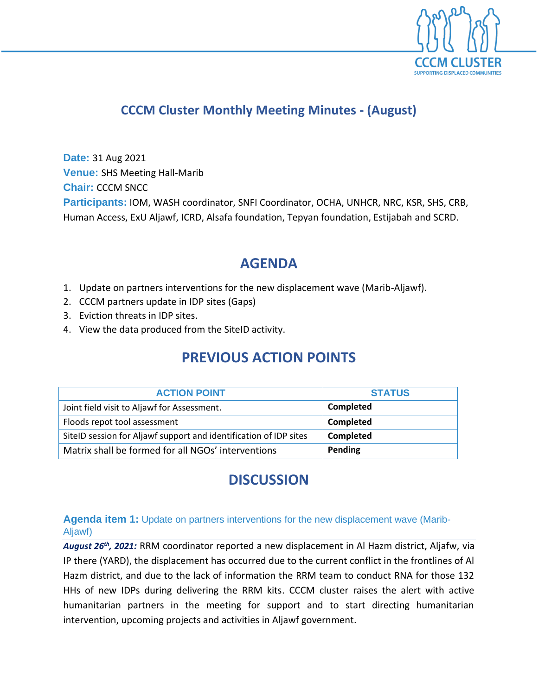

## **CCCM Cluster Monthly Meeting Minutes - (August)**

**Date:** 31 Aug 2021 **Venue:** SHS Meeting Hall-Marib **Chair:** CCCM SNCC **Participants:** IOM, WASH coordinator, SNFI Coordinator, OCHA, UNHCR, NRC, KSR, SHS, CRB, Human Access, ExU Aljawf, ICRD, Alsafa foundation, Tepyan foundation, Estijabah and SCRD.

## **AGENDA**

- 1. Update on partners interventions for the new displacement wave (Marib-Aljawf).
- 2. CCCM partners update in IDP sites (Gaps)
- 3. Eviction threats in IDP sites.
- 4. View the data produced from the SiteID activity.

# **PREVIOUS ACTION POINTS**

| <b>ACTION POINT</b>                                               | <b>STATUS</b> |
|-------------------------------------------------------------------|---------------|
| Joint field visit to Aljawf for Assessment.                       | Completed     |
| Floods repot tool assessment                                      | Completed     |
| SiteID session for Aljawf support and identification of IDP sites | Completed     |
| Matrix shall be formed for all NGOs' interventions                | Pending       |

# **DISCUSSION**

### **Agenda item 1:** Update on partners interventions for the new displacement wave (Marib-Aljawf)

*August 26th, 2021:* RRM coordinator reported a new displacement in Al Hazm district, Aljafw, via IP there (YARD), the displacement has occurred due to the current conflict in the frontlines of Al Hazm district, and due to the lack of information the RRM team to conduct RNA for those 132 HHs of new IDPs during delivering the RRM kits. CCCM cluster raises the alert with active humanitarian partners in the meeting for support and to start directing humanitarian intervention, upcoming projects and activities in Aljawf government.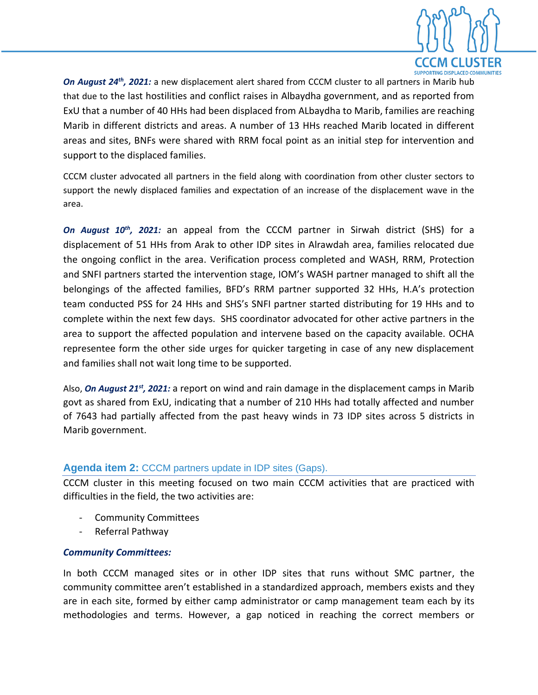

On August 24<sup>th</sup>, 2021: a new displacement alert shared from CCCM cluster to all partners in Marib hub that due to the last hostilities and conflict raises in Albaydha government, and as reported from ExU that a number of 40 HHs had been displaced from ALbaydha to Marib, families are reaching Marib in different districts and areas. A number of 13 HHs reached Marib located in different areas and sites, BNFs were shared with RRM focal point as an initial step for intervention and support to the displaced families.

CCCM cluster advocated all partners in the field along with coordination from other cluster sectors to support the newly displaced families and expectation of an increase of the displacement wave in the area.

*On August 10th, 2021:* an appeal from the CCCM partner in Sirwah district (SHS) for a displacement of 51 HHs from Arak to other IDP sites in Alrawdah area, families relocated due the ongoing conflict in the area. Verification process completed and WASH, RRM, Protection and SNFI partners started the intervention stage, IOM's WASH partner managed to shift all the belongings of the affected families, BFD's RRM partner supported 32 HHs, H.A's protection team conducted PSS for 24 HHs and SHS's SNFI partner started distributing for 19 HHs and to complete within the next few days. SHS coordinator advocated for other active partners in the area to support the affected population and intervene based on the capacity available. OCHA representee form the other side urges for quicker targeting in case of any new displacement and families shall not wait long time to be supported.

Also, *On August 21st, 2021:* a report on wind and rain damage in the displacement camps in Marib govt as shared from ExU, indicating that a number of 210 HHs had totally affected and number of 7643 had partially affected from the past heavy winds in 73 IDP sites across 5 districts in Marib government.

#### **Agenda item 2:** CCCM partners update in IDP sites (Gaps).

CCCM cluster in this meeting focused on two main CCCM activities that are practiced with difficulties in the field, the two activities are:

- Community Committees
- Referral Pathway

### *Community Committees:*

In both CCCM managed sites or in other IDP sites that runs without SMC partner, the community committee aren't established in a standardized approach, members exists and they are in each site, formed by either camp administrator or camp management team each by its methodologies and terms. However, a gap noticed in reaching the correct members or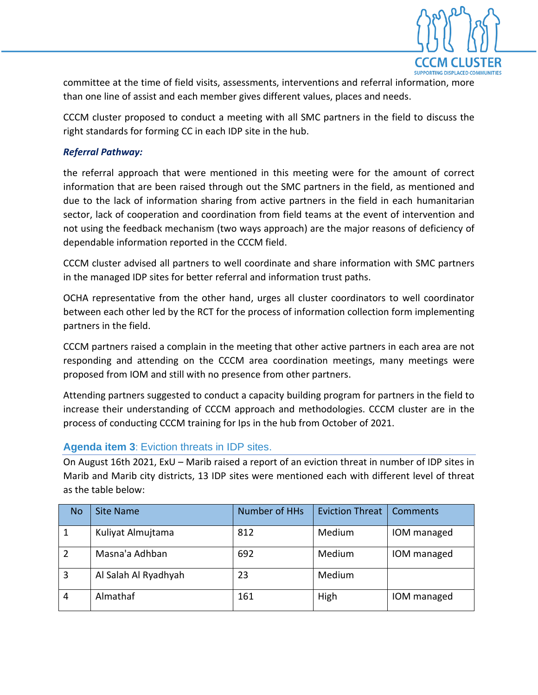

committee at the time of field visits, assessments, interventions and referral information, more than one line of assist and each member gives different values, places and needs.

CCCM cluster proposed to conduct a meeting with all SMC partners in the field to discuss the right standards for forming CC in each IDP site in the hub.

### *Referral Pathway:*

the referral approach that were mentioned in this meeting were for the amount of correct information that are been raised through out the SMC partners in the field, as mentioned and due to the lack of information sharing from active partners in the field in each humanitarian sector, lack of cooperation and coordination from field teams at the event of intervention and not using the feedback mechanism (two ways approach) are the major reasons of deficiency of dependable information reported in the CCCM field.

CCCM cluster advised all partners to well coordinate and share information with SMC partners in the managed IDP sites for better referral and information trust paths.

OCHA representative from the other hand, urges all cluster coordinators to well coordinator between each other led by the RCT for the process of information collection form implementing partners in the field.

CCCM partners raised a complain in the meeting that other active partners in each area are not responding and attending on the CCCM area coordination meetings, many meetings were proposed from IOM and still with no presence from other partners.

Attending partners suggested to conduct a capacity building program for partners in the field to increase their understanding of CCCM approach and methodologies. CCCM cluster are in the process of conducting CCCM training for Ips in the hub from October of 2021.

#### **Agenda item 3**: Eviction threats in IDP sites.

On August 16th 2021, ExU – Marib raised a report of an eviction threat in number of IDP sites in Marib and Marib city districts, 13 IDP sites were mentioned each with different level of threat as the table below:

| <b>No</b>      | Site Name            | Number of HHs | <b>Eviction Threat</b> | <b>Comments</b> |
|----------------|----------------------|---------------|------------------------|-----------------|
| 1              | Kuliyat Almujtama    | 812           | Medium                 | IOM managed     |
| $\overline{2}$ | Masna'a Adhban       | 692           | Medium                 | IOM managed     |
| 3              | Al Salah Al Ryadhyah | 23            | Medium                 |                 |
| $\overline{4}$ | Almathaf             | 161           | High                   | IOM managed     |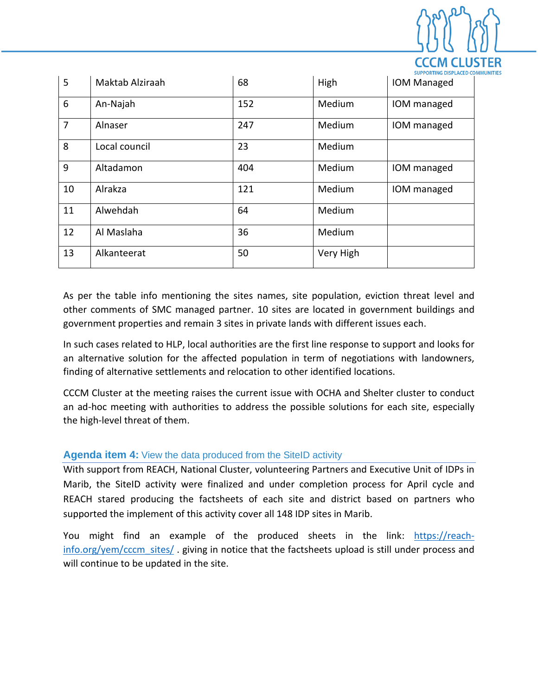

| 5              | Maktab Alziraah | 68  | High      | JULIUM DIJELALU G<br><b>IOM Managed</b> |
|----------------|-----------------|-----|-----------|-----------------------------------------|
| 6              | An-Najah        | 152 | Medium    | IOM managed                             |
| $\overline{7}$ | Alnaser         | 247 | Medium    | IOM managed                             |
| 8              | Local council   | 23  | Medium    |                                         |
| 9              | Altadamon       | 404 | Medium    | IOM managed                             |
| 10             | Alrakza         | 121 | Medium    | IOM managed                             |
| 11             | Alwehdah        | 64  | Medium    |                                         |
| 12             | Al Maslaha      | 36  | Medium    |                                         |
| 13             | Alkanteerat     | 50  | Very High |                                         |

As per the table info mentioning the sites names, site population, eviction threat level and other comments of SMC managed partner. 10 sites are located in government buildings and government properties and remain 3 sites in private lands with different issues each.

In such cases related to HLP, local authorities are the first line response to support and looks for an alternative solution for the affected population in term of negotiations with landowners, finding of alternative settlements and relocation to other identified locations.

CCCM Cluster at the meeting raises the current issue with OCHA and Shelter cluster to conduct an ad-hoc meeting with authorities to address the possible solutions for each site, especially the high-level threat of them.

#### **Agenda item 4:** View the data produced from the SiteID activity

With support from REACH, National Cluster, volunteering Partners and Executive Unit of IDPs in Marib, the SiteID activity were finalized and under completion process for April cycle and REACH stared producing the factsheets of each site and district based on partners who supported the implement of this activity cover all 148 IDP sites in Marib.

You might find an example of the produced sheets in the link: [https://reach](https://reach-info.org/yem/cccm_sites/)[info.org/yem/cccm\\_sites/](https://reach-info.org/yem/cccm_sites/) . giving in notice that the factsheets upload is still under process and will continue to be updated in the site.